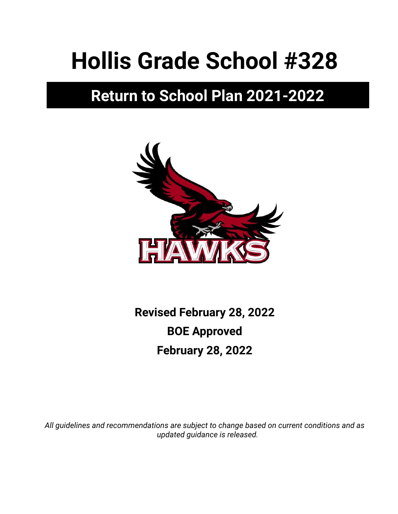# **Hollis Grade School #328**

# **Return to School Plan 2021-2022**



**Revised February 28, 2022 BOE Approved February 28, 2022**

*All guidelines and recommendations are subject to change based on current conditions and as updated guidance is released.*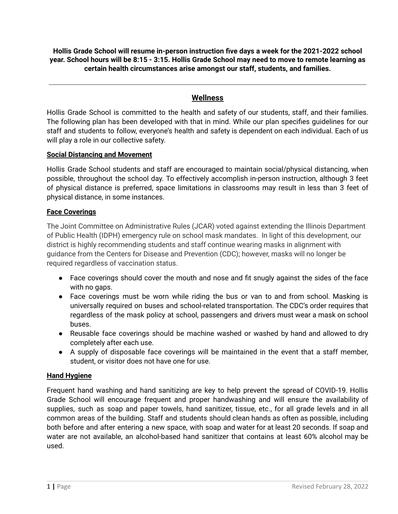**Hollis Grade School will resume in-person instruction five days a week for the 2021-2022 school** year. School hours will be 8:15 - 3:15. Hollis Grade School may need to move to remote learning as **certain health circumstances arise amongst our staff, students, and families.**

# **Wellness**

Hollis Grade School is committed to the health and safety of our students, staff, and their families. The following plan has been developed with that in mind. While our plan specifies guidelines for our staff and students to follow, everyone's health and safety is dependent on each individual. Each of us will play a role in our collective safety.

# **Social Distancing and Movement**

Hollis Grade School students and staff are encouraged to maintain social/physical distancing, when possible, throughout the school day. To effectively accomplish in-person instruction, although 3 feet of physical distance is preferred, space limitations in classrooms may result in less than 3 feet of physical distance, in some instances.

# **Face Coverings**

The Joint Committee on Administrative Rules (JCAR) voted against extending the Illinois Department of Public Health (IDPH) emergency rule on school mask mandates. In light of this development, our district is highly recommending students and staff continue wearing masks in alignment with guidance from the Centers for Disease and Prevention (CDC); however, masks will no longer be required regardless of vaccination status.

- Face coverings should cover the mouth and nose and fit snugly against the sides of the face with no gaps.
- **●** Face coverings must be worn while riding the bus or van to and from school. Masking is universally required on buses and school-related transportation. The [CDC's](http://link.isbe.net/c/6/?T=OTAyMDg4NDQ%3AMDItYjIxMTk0LWRjNDFmYmViNzAzNjQxOGJiOGY2NjExYTlhY2MxNmRm%3AYXNjaG9lZGVsQGhvbGxpczMyOC5uZXQ%3AY29udGFjdC0xOTY3NmM1MTZkZjRlYTExYTgxNjAwMGQzYTU5MTNiZC0wOTk4NzgwMTllYTk0MzA0OGE2NjEzYTczNWQ1ZjQ0OQ%3AZmFsc2U%3AMw%3A%3AaHR0cHM6Ly93d3cuY2RjLmdvdi9xdWFyYW50aW5lL21hc2tzL21hc2stdHJhdmVsLWd1aWRhbmNlLmh0bWw_X2NsZGVlPVlYTmphRzlsWkdWc1FHaHZiR3hwY3pNeU9DNXVaWFElM2QmcmVjaXBpZW50aWQ9Y29udGFjdC0xOTY3NmM1MTZkZjRlYTExYTgxNjAwMGQzYTU5MTNiZC0wOTk4NzgwMTllYTk0MzA0OGE2NjEzYTczNWQ1ZjQ0OSZlc2lkPWU3ZmNlNmY1LWU1ZTMtZWIxMS1iYWNiLTAwMjI0ODA4NjI0OQ&K=O6OrYxQ_IucnWgE33MBD8Q) order requires that regardless of the mask policy at school, passengers and drivers must wear a mask on school buses.
- Reusable face coverings should be machine washed or washed by hand and allowed to dry completely after each use.
- A supply of disposable face coverings will be maintained in the event that a staff member, student, or visitor does not have one for use.

# **Hand Hygiene**

Frequent hand washing and hand sanitizing are key to help prevent the spread of COVID-19. Hollis Grade School will encourage frequent and proper handwashing and will ensure the availability of supplies, such as soap and paper towels, hand sanitizer, tissue, etc., for all grade levels and in all common areas of the building. Staff and students should clean hands as often as possible, including both before and after entering a new space, with soap and water for at least 20 seconds. If soap and water are not available, an alcohol-based hand sanitizer that contains at least 60% alcohol may be used.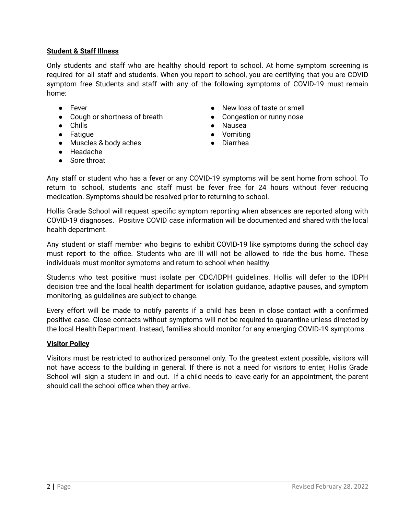# **Student & Staff Illness**

Only students and staff who are healthy should report to school. At home symptom screening is required for all staff and students. When you report to school, you are certifying that you are COVID symptom free Students and staff with any of the following symptoms of COVID-19 must remain home:

- Fever
- Cough or shortness of breath
- Chills
- Fatigue
- Muscles & body aches
- Headache
- Sore throat
- New loss of taste or smell
- Congestion or runny nose
- Nausea
- Vomiting
- Diarrhea

Any staff or student who has a fever or any COVID-19 symptoms will be sent home from school. To return to school, students and staff must be fever free for 24 hours without fever reducing medication. Symptoms should be resolved prior to returning to school.

Hollis Grade School will request specific symptom reporting when absences are reported along with COVID-19 diagnoses. Positive COVID case information will be documented and shared with the local health department.

Any student or staff member who begins to exhibit COVID-19 like symptoms during the school day must report to the office. Students who are ill will not be allowed to ride the bus home. These individuals must monitor symptoms and return to school when healthy.

Students who test positive must isolate per CDC/IDPH guidelines. Hollis will defer to the IDPH decision tree and the local health department for isolation guidance, adaptive pauses, and symptom monitoring, as guidelines are subject to change.

Every effort will be made to notify parents if a child has been in close contact with a confirmed positive case. Close contacts without symptoms will not be required to quarantine unless directed by the local Health Department. Instead, families should monitor for any emerging COVID-19 symptoms.

#### **Visitor Policy**

Visitors must be restricted to authorized personnel only. To the greatest extent possible, visitors will not have access to the building in general. If there is not a need for visitors to enter, Hollis Grade School will sign a student in and out. If a child needs to leave early for an appointment, the parent should call the school office when they arrive.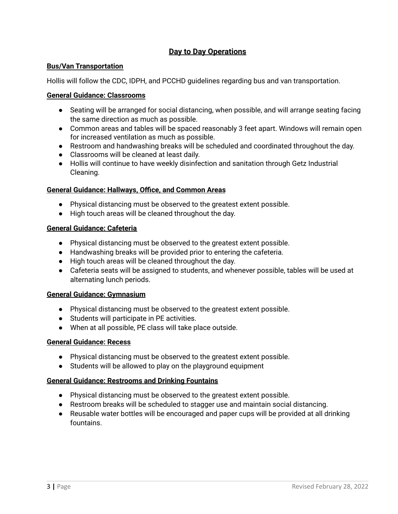# **Day to Day Operations**

# **Bus/Van Transportation**

Hollis will follow the CDC, IDPH, and PCCHD guidelines regarding bus and van transportation.

#### **General Guidance: Classrooms**

- Seating will be arranged for social distancing, when possible, and will arrange seating facing the same direction as much as possible.
- Common areas and tables will be spaced reasonably 3 feet apart. Windows will remain open for increased ventilation as much as possible.
- Restroom and handwashing breaks will be scheduled and coordinated throughout the day.
- Classrooms will be cleaned at least daily.
- Hollis will continue to have weekly disinfection and sanitation through Getz Industrial Cleaning.

#### **General Guidance: Hallways, Office, and Common Areas**

- Physical distancing must be observed to the greatest extent possible.
- High touch areas will be cleaned throughout the day.

#### **General Guidance: Cafeteria**

- Physical distancing must be observed to the greatest extent possible.
- Handwashing breaks will be provided prior to entering the cafeteria.
- High touch areas will be cleaned throughout the day.
- Cafeteria seats will be assigned to students, and whenever possible, tables will be used at alternating lunch periods.

#### **General Guidance: Gymnasium**

- Physical distancing must be observed to the greatest extent possible.
- Students will participate in PE activities.
- When at all possible, PE class will take place outside.

#### **General Guidance: Recess**

- Physical distancing must be observed to the greatest extent possible.
- Students will be allowed to play on the playground equipment

#### **General Guidance: Restrooms and Drinking Fountains**

- Physical distancing must be observed to the greatest extent possible.
- Restroom breaks will be scheduled to stagger use and maintain social distancing.
- Reusable water bottles will be encouraged and paper cups will be provided at all drinking fountains.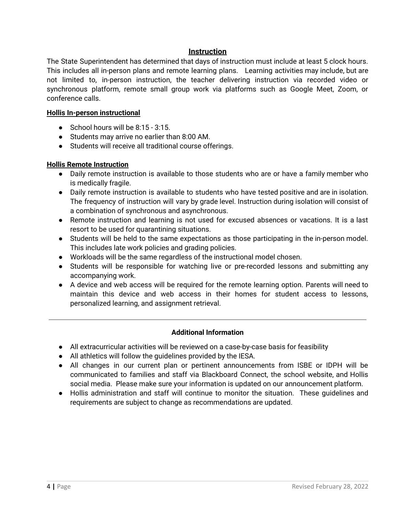# **Instruction**

The State Superintendent has determined that days of instruction must include at least 5 clock hours. This includes all in-person plans and remote learning plans. Learning activities may include, but are not limited to, in-person instruction, the teacher delivering instruction via recorded video or synchronous platform, remote small group work via platforms such as Google Meet, Zoom, or conference calls.

## **Hollis In-person instructional**

- $\bullet$  School hours will be 8:15 3:15.
- Students may arrive no earlier than 8:00 AM.
- Students will receive all traditional course offerings.

## **Hollis Remote Instruction**

- Daily remote instruction is available to those students who are or have a family member who is medically fragile.
- Daily remote instruction is available to students who have tested positive and are in isolation. The frequency of instruction will vary by grade level. Instruction during isolation will consist of a combination of synchronous and asynchronous.
- Remote instruction and learning is not used for excused absences or vacations. It is a last resort to be used for quarantining situations.
- Students will be held to the same expectations as those participating in the in-person model. This includes late work policies and grading policies.
- Workloads will be the same regardless of the instructional model chosen.
- Students will be responsible for watching live or pre-recorded lessons and submitting any accompanying work.
- A device and web access will be required for the remote learning option. Parents will need to maintain this device and web access in their homes for student access to lessons, personalized learning, and assignment retrieval.

# **Additional Information**

- All extracurricular activities will be reviewed on a case-by-case basis for feasibility
- All athletics will follow the guidelines provided by the IESA.
- All changes in our current plan or pertinent announcements from ISBE or IDPH will be communicated to families and staff via Blackboard Connect, the school website, and Hollis social media. Please make sure your information is updated on our announcement platform.
- Hollis administration and staff will continue to monitor the situation. These guidelines and requirements are subject to change as recommendations are updated.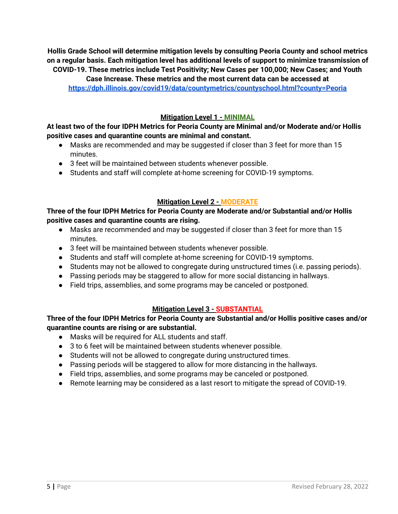**Hollis Grade School will determine mitigation levels by consulting Peoria County and school metrics on a regular basis. Each mitigation level has additional levels of support to minimize transmission of COVID-19. These metrics include Test Positivity; New Cases per 100,000; New Cases; and Youth Case Increase. These metrics and the most current data can be accessed at <https://dph.illinois.gov/covid19/data/countymetrics/countyschool.html?county=Peoria>**

#### **Mitigation Level 1 - MINIMAL**

# **At least two of the four IDPH Metrics for Peoria County are Minimal and/or Moderate and/or Hollis positive cases and quarantine counts are minimal and constant.**

- Masks are recommended and may be suggested if closer than 3 feet for more than 15 minutes.
- 3 feet will be maintained between students whenever possible.
- Students and staff will complete at-home screening for COVID-19 symptoms.

# **Mitigation Level 2 - MODERATE**

# **Three of the four IDPH Metrics for Peoria County are Moderate and/or Substantial and/or Hollis positive cases and quarantine counts are rising.**

- Masks are recommended and may be suggested if closer than 3 feet for more than 15 minutes.
- 3 feet will be maintained between students whenever possible.
- Students and staff will complete at-home screening for COVID-19 symptoms.
- Students may not be allowed to congregate during unstructured times (i.e. passing periods).
- Passing periods may be staggered to allow for more social distancing in hallways.
- Field trips, assemblies, and some programs may be canceled or postponed.

# **Mitigation Level 3 - SUBSTANTIAL**

# **Three of the four IDPH Metrics for Peoria County are Substantial and/or Hollis positive cases and/or quarantine counts are rising or are substantial.**

- Masks will be required for ALL students and staff.
- 3 to 6 feet will be maintained between students whenever possible.
- Students will not be allowed to congregate during unstructured times.
- Passing periods will be staggered to allow for more distancing in the hallways.
- Field trips, assemblies, and some programs may be canceled or postponed.
- Remote learning may be considered as a last resort to mitigate the spread of COVID-19.